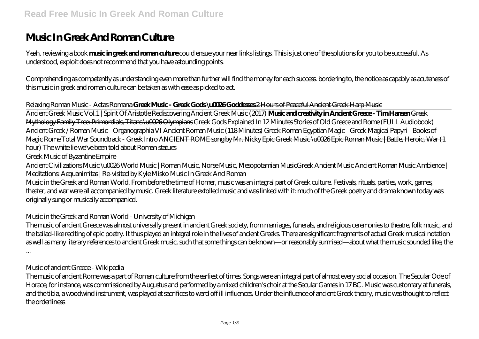# **Music In Greek And Roman Culture**

Yeah, reviewing a book **music in greek and roman culture** could ensue your near links listings. This is just one of the solutions for you to be successful. As understood, exploit does not recommend that you have astounding points.

Comprehending as competently as understanding even more than further will find the money for each success. bordering to, the notice as capably as acuteness of this music in greek and roman culture can be taken as with ease as picked to act.

#### *Relaxing Roman Music - Aetas Romana* **Greek Music - Greek Gods \u0026 Goddesses** 2 Hours of Peaceful Ancient Greek Harp Music

Ancient Greek Music Vol.1 | Spirit Of Aristotle Rediscovering Ancient Greek Music (2017) **Music and creativity in Ancient Greece - Tim Hansen** Greek Mythology Family Tree: Primordials, Titans \u0026 Olympians *Greek Gods Explained In 12 Minutes Stories of Old Greece and Rome (FULL Audiobook)* Ancient Greek / Roman Music - Organographia VI Ancient Roman Music (118 Minutes) Greek Roman Egyptian Magic - Greek Magical Papyri - Books of Magie Rome Total War Soundtrack - Greek Intro ANCIENT ROME song by Mr. Nicky Epic Greek Music \u0026 Epic Roman Music | Battle, Heroic, War (1 hour) The white lie we've been told about Roman statues

Greek Music of Byzantine Empire

Ancient Civilizations Music \u0026 World Music | Roman Music, Norse Music, Mesopotamian Music*Greek Ancient Music* Ancient Roman Music Ambience | Meditations: Aequanimitas | Re-visited by Kyle Misko *Music In Greek And Roman*

Music in the Greek and Roman World. From before the time of Homer, music was an integral part of Greek culture. Festivals, rituals, parties, work, games, theater, and war were all accompanied by music. Greek literature extolled music and was linked with it: much of the Greek poetry and drama known today was originally sung or musically accompanied.

#### *Music in the Greek and Roman World - University of Michigan*

The music of ancient Greece was almost universally present in ancient Greek society, from marriages, funerals, and religious ceremonies to theatre, folk music, and the ballad-like reciting of epic poetry. It thus played an integral role in the lives of ancient Greeks. There are significant fragments of actual Greek musical notation as well as many literary references to ancient Greek music, such that some things can be known—or reasonably surmised—about what the music sounded like, the ...

#### *Music of ancient Greece - Wikipedia*

The music of ancient Rome was a part of Roman culture from the earliest of times. Songs were an integral part of almost every social occasion. The Secular Ode of Horace, for instance, was commissioned by Augustus and performed by a mixed children's choir at the Secular Games in 17 BC. Music was customary at funerals, and the tibia, a woodwind instrument, was played at sacrifices to ward off ill influences. Under the influence of ancient Greek theory, music was thought to reflect the orderliness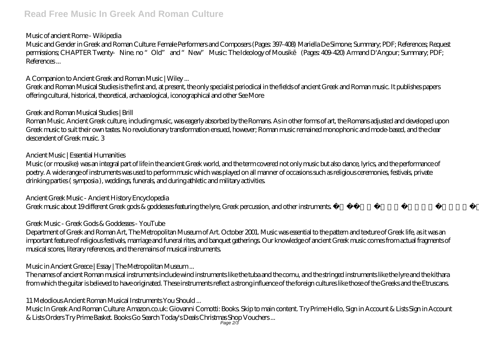# **Read Free Music In Greek And Roman Culture**

#### *Music of ancient Rome - Wikipedia*

Music and Gender in Greek and Roman Culture: Female Performers and Composers (Pages: 397-408) Mariella De Simone; Summary; PDF; References; Request permissions; CHAPTER Twenty Nine. no "Old" and "New" Music: The Ideology of Mousik (Pages: 409-420) Armand D'Angour; Summary; PDF; References ...

# *A Companion to Ancient Greek and Roman Music | Wiley ...*

Greek and Roman Musical Studies is the first and, at present, the only specialist periodical in the fields of ancient Greek and Roman music. It publishes papers offering cultural, historical, theoretical, archaeological, iconographical and other See More

#### *Greek and Roman Musical Studies | Brill*

Roman Music. Ancient Greek culture, including music, was eagerly absorbed by the Romans. As in other forms of art, the Romans adjusted and developed upon Greek music to suit their own tastes. No revolutionary transformation ensued, however; Roman music remained monophonic and mode-based, and the clear descendent of Greek music. 3

#### *Ancient Music | Essential Humanities*

Music (or mousike) was an integral part of life in the ancient Greek world, and the term covered not only music but also dance, lyrics, and the performance of poetry. A wide range of instruments was used to perform music which was played on all manner of occasions such as religious ceremonies, festivals, private drinking parties ( symposia ), weddings, funerals, and during athletic and military activities.

# *Ancient Greek Music - Ancient History Encyclopedia*

Greek music about 19 different Greek gods & goddesses featuring the lyre, Greek percussion, and other instruments. If you like this Greek mythology music, ...

# *Greek Music - Greek Gods & Goddesses - YouTube*

Department of Greek and Roman Art, The Metropolitan Museum of Art. October 2001. Music was essential to the pattern and texture of Greek life, as it was an important feature of religious festivals, marriage and funeral rites, and banquet gatherings. Our knowledge of ancient Greek music comes from actual fragments of musical scores, literary references, and the remains of musical instruments.

# *Music in Ancient Greece | Essay | The Metropolitan Museum ...*

The names of ancient Roman musical instruments include wind instruments like the tuba and the cornu, and the stringed instruments like the lyre and the kithara from which the guitar is believed to have originated. These instruments reflect a strong influence of the foreign cultures like those of the Greeks and the Etruscans.

# *11 Melodious Ancient Roman Musical Instruments You Should ...*

Music In Greek And Roman Culture: Amazon.co.uk: Giovanni Comotti: Books. Skip to main content. Try Prime Hello, Sign in Account & Lists Sign in Account & Lists Orders Try Prime Basket. Books Go Search Today's Deals Christmas Shop Vouchers ... Page 2/3